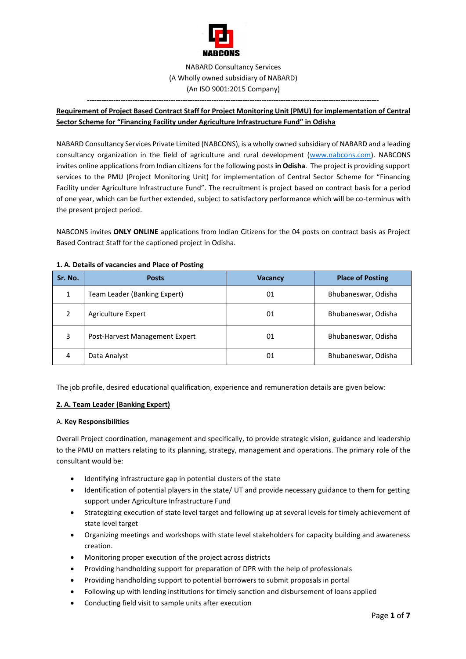

# NABARD Consultancy Services (A Wholly owned subsidiary of NABARD) (An ISO 9001:2015 Company)

*--------------------------------------------------------------------------------------------------------------------------*

# **Requirement of Project Based Contract Staff for Project Monitoring Unit (PMU) for implementation of Central Sector Scheme for "Financing Facility under Agriculture Infrastructure Fund" in Odisha**

NABARD Consultancy Services Private Limited (NABCONS), is a wholly owned subsidiary of NABARD and a leading consultancy organization in the field of agriculture and rural development [\(www.nabcons.com\)](http://www.nabcons.com/). NABCONS invites online applications from Indian citizens for the following posts **in Odisha**. The project is providing support services to the PMU (Project Monitoring Unit) for implementation of Central Sector Scheme for "Financing Facility under Agriculture Infrastructure Fund". The recruitment is project based on contract basis for a period of one year, which can be further extended, subject to satisfactory performance which will be co-terminus with the present project period.

NABCONS invites **ONLY ONLINE** applications from Indian Citizens for the 04 posts on contract basis as Project Based Contract Staff for the captioned project in Odisha.

| Sr. No.       | <b>Posts</b>                   | <b>Vacancy</b> | <b>Place of Posting</b> |
|---------------|--------------------------------|----------------|-------------------------|
| 1             | Team Leader (Banking Expert)   | 01             | Bhubaneswar, Odisha     |
| $\mathfrak z$ | Agriculture Expert             | 01             | Bhubaneswar, Odisha     |
| 3             | Post-Harvest Management Expert | 01             | Bhubaneswar, Odisha     |
| 4             | Data Analyst                   | 01             | Bhubaneswar, Odisha     |

### **1. A. Details of vacancies and Place of Posting**

The job profile, desired educational qualification, experience and remuneration details are given below:

## **2. A. Team Leader (Banking Expert)**

### A. **Key Responsibilities**

Overall Project coordination, management and specifically, to provide strategic vision, guidance and leadership to the PMU on matters relating to its planning, strategy, management and operations. The primary role of the consultant would be:

- Identifying infrastructure gap in potential clusters of the state
- Identification of potential players in the state/ UT and provide necessary guidance to them for getting support under Agriculture Infrastructure Fund
- Strategizing execution of state level target and following up at several levels for timely achievement of state level target
- Organizing meetings and workshops with state level stakeholders for capacity building and awareness creation.
- Monitoring proper execution of the project across districts
- Providing handholding support for preparation of DPR with the help of professionals
- Providing handholding support to potential borrowers to submit proposals in portal
- Following up with lending institutions for timely sanction and disbursement of loans applied
- Conducting field visit to sample units after execution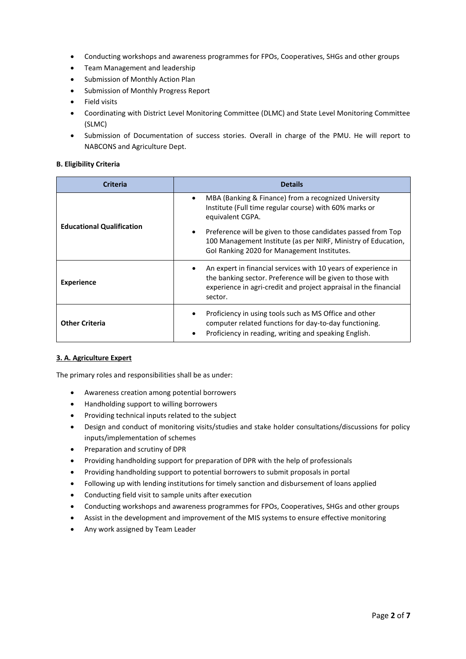- Conducting workshops and awareness programmes for FPOs, Cooperatives, SHGs and other groups
- Team Management and leadership
- Submission of Monthly Action Plan
- Submission of Monthly Progress Report
- Field visits
- Coordinating with District Level Monitoring Committee (DLMC) and State Level Monitoring Committee (SLMC)
- Submission of Documentation of success stories. Overall in charge of the PMU. He will report to NABCONS and Agriculture Dept.

### **B. Eligibility Criteria**

| <b>Criteria</b>                  | <b>Details</b>                                                                                                                                                                                                           |
|----------------------------------|--------------------------------------------------------------------------------------------------------------------------------------------------------------------------------------------------------------------------|
|                                  | MBA (Banking & Finance) from a recognized University<br>$\bullet$<br>Institute (Full time regular course) with 60% marks or<br>equivalent CGPA.                                                                          |
| <b>Educational Qualification</b> | Preference will be given to those candidates passed from Top<br>100 Management Institute (as per NIRF, Ministry of Education,<br>Gol Ranking 2020 for Management Institutes.                                             |
| <b>Experience</b>                | An expert in financial services with 10 years of experience in<br>$\bullet$<br>the banking sector. Preference will be given to those with<br>experience in agri-credit and project appraisal in the financial<br>sector. |
| <b>Other Criteria</b>            | Proficiency in using tools such as MS Office and other<br>$\bullet$<br>computer related functions for day-to-day functioning.<br>Proficiency in reading, writing and speaking English.<br>$\bullet$                      |

## **3. A. Agriculture Expert**

The primary roles and responsibilities shall be as under:

- Awareness creation among potential borrowers
- Handholding support to willing borrowers
- Providing technical inputs related to the subject
- Design and conduct of monitoring visits/studies and stake holder consultations/discussions for policy inputs/implementation of schemes
- Preparation and scrutiny of DPR
- Providing handholding support for preparation of DPR with the help of professionals
- Providing handholding support to potential borrowers to submit proposals in portal
- Following up with lending institutions for timely sanction and disbursement of loans applied
- Conducting field visit to sample units after execution
- Conducting workshops and awareness programmes for FPOs, Cooperatives, SHGs and other groups
- Assist in the development and improvement of the MIS systems to ensure effective monitoring
- Any work assigned by Team Leader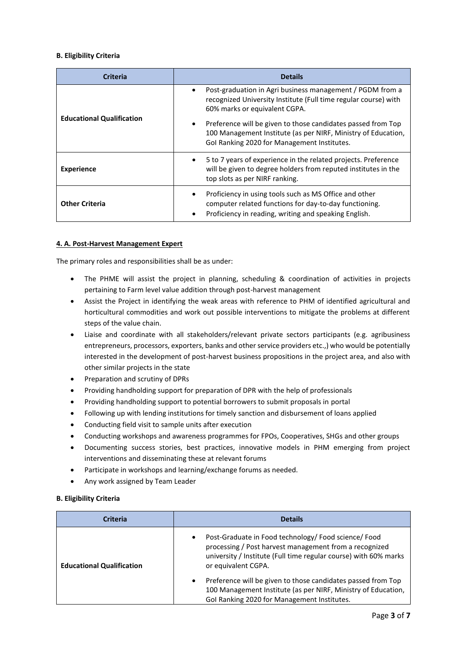### **B. Eligibility Criteria**

| <b>Criteria</b>                  | <b>Details</b>                                                                                                                                                                                                                                                                                                                                             |
|----------------------------------|------------------------------------------------------------------------------------------------------------------------------------------------------------------------------------------------------------------------------------------------------------------------------------------------------------------------------------------------------------|
| <b>Educational Qualification</b> | Post-graduation in Agri business management / PGDM from a<br>$\bullet$<br>recognized University Institute (Full time regular course) with<br>60% marks or equivalent CGPA.<br>Preference will be given to those candidates passed from Top<br>100 Management Institute (as per NIRF, Ministry of Education,<br>Gol Ranking 2020 for Management Institutes. |
| <b>Experience</b>                | 5 to 7 years of experience in the related projects. Preference<br>will be given to degree holders from reputed institutes in the<br>top slots as per NIRF ranking.                                                                                                                                                                                         |
| <b>Other Criteria</b>            | Proficiency in using tools such as MS Office and other<br>computer related functions for day-to-day functioning.<br>Proficiency in reading, writing and speaking English.                                                                                                                                                                                  |

### **4. A. Post-Harvest Management Expert**

The primary roles and responsibilities shall be as under:

- The PHME will assist the project in planning, scheduling & coordination of activities in projects pertaining to Farm level value addition through post-harvest management
- Assist the Project in identifying the weak areas with reference to PHM of identified agricultural and horticultural commodities and work out possible interventions to mitigate the problems at different steps of the value chain.
- Liaise and coordinate with all stakeholders/relevant private sectors participants (e.g. agribusiness entrepreneurs, processors, exporters, banks and other service providers etc.,) who would be potentially interested in the development of post-harvest business propositions in the project area, and also with other similar projects in the state
- Preparation and scrutiny of DPRs
- Providing handholding support for preparation of DPR with the help of professionals
- Providing handholding support to potential borrowers to submit proposals in portal
- Following up with lending institutions for timely sanction and disbursement of loans applied
- Conducting field visit to sample units after execution
- Conducting workshops and awareness programmes for FPOs, Cooperatives, SHGs and other groups
- Documenting success stories, best practices, innovative models in PHM emerging from project interventions and disseminating these at relevant forums
- Participate in workshops and learning/exchange forums as needed.
- Any work assigned by Team Leader

### **B. Eligibility Criteria**

| <b>Criteria</b>                  | <b>Details</b>                                                                                                                                                                                                         |  |
|----------------------------------|------------------------------------------------------------------------------------------------------------------------------------------------------------------------------------------------------------------------|--|
| <b>Educational Qualification</b> | Post-Graduate in Food technology/ Food science/ Food<br>$\bullet$<br>processing / Post harvest management from a recognized<br>university / Institute (Full time regular course) with 60% marks<br>or equivalent CGPA. |  |
|                                  | Preference will be given to those candidates passed from Top<br>$\bullet$<br>100 Management Institute (as per NIRF, Ministry of Education,<br>Gol Ranking 2020 for Management Institutes.                              |  |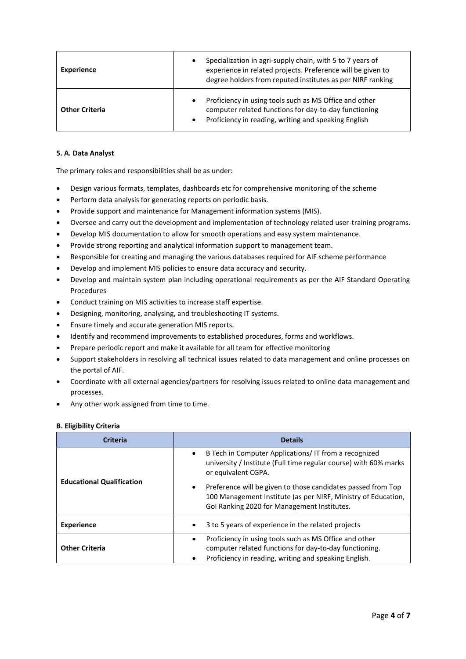| <b>Experience</b>     | Specialization in agri-supply chain, with 5 to 7 years of<br>experience in related projects. Preference will be given to<br>degree holders from reputed institutes as per NIRF ranking |
|-----------------------|----------------------------------------------------------------------------------------------------------------------------------------------------------------------------------------|
| <b>Other Criteria</b> | Proficiency in using tools such as MS Office and other<br>computer related functions for day-to-day functioning<br>Proficiency in reading, writing and speaking English                |

## **5. A. Data Analyst**

The primary roles and responsibilities shall be as under:

- Design various formats, templates, dashboards etc for comprehensive monitoring of the scheme
- Perform data analysis for generating reports on periodic basis.
- Provide support and maintenance for Management information systems (MIS).
- Oversee and carry out the development and implementation of technology related user-training programs.
- Develop MIS documentation to allow for smooth operations and easy system maintenance.
- Provide strong reporting and analytical information support to management team.
- Responsible for creating and managing the various databases required for AIF scheme performance
- Develop and implement MIS policies to ensure data accuracy and security.
- Develop and maintain system plan including operational requirements as per the AIF Standard Operating Procedures
- Conduct training on MIS activities to increase staff expertise.
- Designing, monitoring, analysing, and troubleshooting IT systems.
- Ensure timely and accurate generation MIS reports.
- Identify and recommend improvements to established procedures, forms and workflows.
- Prepare periodic report and make it available for all team for effective monitoring
- Support stakeholders in resolving all technical issues related to data management and online processes on the portal of AIF.
- Coordinate with all external agencies/partners for resolving issues related to online data management and processes.
- Any other work assigned from time to time.

### **B. Eligibility Criteria**

| Criteria                         | <b>Details</b>                                                                                                                                                                                                                                                                                                                  |
|----------------------------------|---------------------------------------------------------------------------------------------------------------------------------------------------------------------------------------------------------------------------------------------------------------------------------------------------------------------------------|
| <b>Educational Qualification</b> | B Tech in Computer Applications/IT from a recognized<br>university / Institute (Full time regular course) with 60% marks<br>or equivalent CGPA.<br>Preference will be given to those candidates passed from Top<br>100 Management Institute (as per NIRF, Ministry of Education,<br>Gol Ranking 2020 for Management Institutes. |
| <b>Experience</b>                | 3 to 5 years of experience in the related projects<br>$\bullet$                                                                                                                                                                                                                                                                 |
| <b>Other Criteria</b>            | Proficiency in using tools such as MS Office and other<br>$\bullet$<br>computer related functions for day-to-day functioning.<br>Proficiency in reading, writing and speaking English.<br>٠                                                                                                                                     |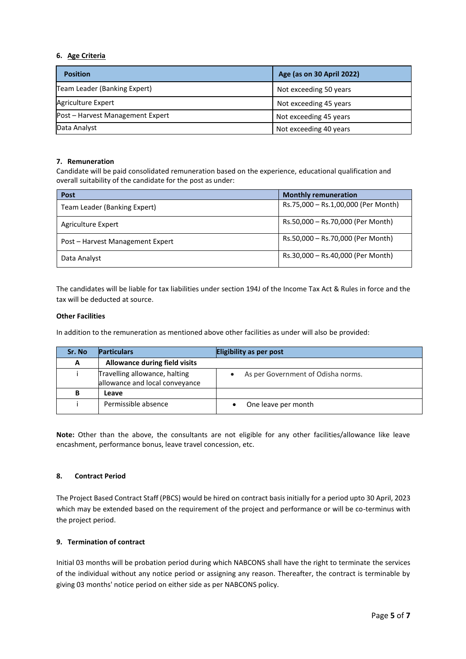### **6. Age Criteria**

| <b>Position</b>                  | Age (as on 30 April 2022) |
|----------------------------------|---------------------------|
| Team Leader (Banking Expert)     | Not exceeding 50 years    |
| <b>Agriculture Expert</b>        | Not exceeding 45 years    |
| Post – Harvest Management Expert | Not exceeding 45 years    |
| Data Analyst                     | Not exceeding 40 years    |

### **7. Remuneration**

Candidate will be paid consolidated remuneration based on the experience, educational qualification and overall suitability of the candidate for the post as under:

| <b>Post</b>                      | <b>Monthly remuneration</b>         |
|----------------------------------|-------------------------------------|
| Team Leader (Banking Expert)     | Rs.75,000 - Rs.1,00,000 (Per Month) |
| Agriculture Expert               | Rs.50,000 - Rs.70,000 (Per Month)   |
| Post - Harvest Management Expert | Rs.50,000 - Rs.70,000 (Per Month)   |
| Data Analyst                     | Rs.30,000 - Rs.40,000 (Per Month)   |

The candidates will be liable for tax liabilities under section 194J of the Income Tax Act & Rules in force and the tax will be deducted at source.

#### **Other Facilities**

In addition to the remuneration as mentioned above other facilities as under will also be provided:

| Sr. No | <b>Particulars</b>                                              | <b>Eligibility as per post</b>     |
|--------|-----------------------------------------------------------------|------------------------------------|
| A      | <b>Allowance during field visits</b>                            |                                    |
|        | Travelling allowance, halting<br>allowance and local conveyance | As per Government of Odisha norms. |
| в      | Leave                                                           |                                    |
|        | Permissible absence                                             | One leave per month                |

**Note:** Other than the above, the consultants are not eligible for any other facilities/allowance like leave encashment, performance bonus, leave travel concession, etc.

### **8. Contract Period**

The Project Based Contract Staff (PBCS) would be hired on contract basis initially for a period upto 30 April, 2023 which may be extended based on the requirement of the project and performance or will be co-terminus with the project period.

### **9. Termination of contract**

Initial 03 months will be probation period during which NABCONS shall have the right to terminate the services of the individual without any notice period or assigning any reason. Thereafter, the contract is terminable by giving 03 months' notice period on either side as per NABCONS policy.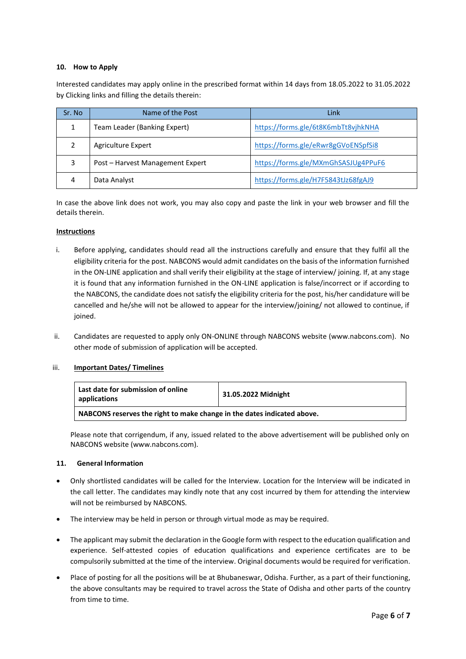#### **10. How to Apply**

Interested candidates may apply online in the prescribed format within 14 days from 18.05.2022 to 31.05.2022 by Clicking links and filling the details therein:

| Sr. No | Name of the Post                 | Link                                |
|--------|----------------------------------|-------------------------------------|
|        | Team Leader (Banking Expert)     | https://forms.gle/6t8K6mbTt8vjhkNHA |
|        | Agriculture Expert               | https://forms.gle/eRwr8gGVoENSpfSi8 |
| 3      | Post – Harvest Management Expert | https://forms.gle/MXmGhSASJUg4PPuF6 |
| 4      | Data Analyst                     | https://forms.gle/H7F5843tJz68fgAJ9 |

In case the above link does not work, you may also copy and paste the link in your web browser and fill the details therein.

#### **Instructions**

- i. Before applying, candidates should read all the instructions carefully and ensure that they fulfil all the eligibility criteria for the post. NABCONS would admit candidates on the basis of the information furnished in the ON-LINE application and shall verify their eligibility at the stage of interview/ joining. If, at any stage it is found that any information furnished in the ON-LINE application is false/incorrect or if according to the NABCONS, the candidate does not satisfy the eligibility criteria for the post, his/her candidature will be cancelled and he/she will not be allowed to appear for the interview/joining/ not allowed to continue, if joined.
- ii. Candidates are requested to apply only ON-ONLINE through NABCONS website (www.nabcons.com). No other mode of submission of application will be accepted.

### iii. **Important Dates/ Timelines**

| Last date for submission of online<br>applications                      | 31.05.2022 Midnight |
|-------------------------------------------------------------------------|---------------------|
| NABCONS reserves the right to make change in the dates indicated above. |                     |

Please note that corrigendum, if any, issued related to the above advertisement will be published only on NABCONS website (www.nabcons.com).

#### **11. General Information**

- Only shortlisted candidates will be called for the Interview. Location for the Interview will be indicated in the call letter. The candidates may kindly note that any cost incurred by them for attending the interview will not be reimbursed by NABCONS.
- The interview may be held in person or through virtual mode as may be required.
- The applicant may submit the declaration in the Google form with respect to the education qualification and experience. Self-attested copies of education qualifications and experience certificates are to be compulsorily submitted at the time of the interview. Original documents would be required for verification.
- Place of posting for all the positions will be at Bhubaneswar, Odisha. Further, as a part of their functioning, the above consultants may be required to travel across the State of Odisha and other parts of the country from time to time.